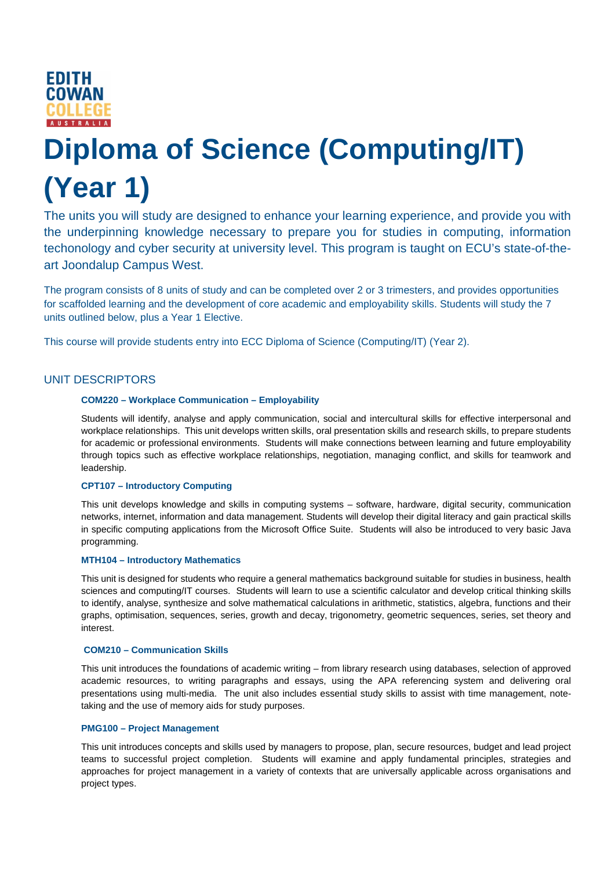

# **Diploma of Science (Computing/IT) (Year 1)**

The units you will study are designed to enhance your learning experience, and provide you with the underpinning knowledge necessary to prepare you for studies in computing, information techonology and cyber security at university level. This program is taught on ECU's state-of-theart Joondalup Campus West.

The program consists of 8 units of study and can be completed over 2 or 3 trimesters, and provides opportunities for scaffolded learning and the development of core academic and employability skills. Students will study the 7 units outlined below, plus a Year 1 Elective.

This course will provide students entry into ECC Diploma of Science (Computing/IT) (Year 2).

## UNIT DESCRIPTORS

## **COM220 – Workplace Communication – Employability**

Students will identify, analyse and apply communication, social and intercultural skills for effective interpersonal and workplace relationships. This unit develops written skills, oral presentation skills and research skills, to prepare students for academic or professional environments. Students will make connections between learning and future employability through topics such as effective workplace relationships, negotiation, managing conflict, and skills for teamwork and leadership.

#### **CPT107 – Introductory Computing**

This unit develops knowledge and skills in computing systems – software, hardware, digital security, communication networks, internet, information and data management. Students will develop their digital literacy and gain practical skills in specific computing applications from the Microsoft Office Suite. Students will also be introduced to very basic Java programming.

## **MTH104 – Introductory Mathematics**

This unit is designed for students who require a general mathematics background suitable for studies in business, health sciences and computing/IT courses. Students will learn to use a scientific calculator and develop critical thinking skills to identify, analyse, synthesize and solve mathematical calculations in arithmetic, statistics, algebra, functions and their graphs, optimisation, sequences, series, growth and decay, trigonometry, geometric sequences, series, set theory and interest.

#### **COM210 – Communication Skills**

This unit introduces the foundations of academic writing – from library research using databases, selection of approved academic resources, to writing paragraphs and essays, using the APA referencing system and delivering oral presentations using multi-media. The unit also includes essential study skills to assist with time management, notetaking and the use of memory aids for study purposes.

## **PMG100 – Project Management**

This unit introduces concepts and skills used by managers to propose, plan, secure resources, budget and lead project teams to successful project completion. Students will examine and apply fundamental principles, strategies and approaches for project management in a variety of contexts that are universally applicable across organisations and project types.